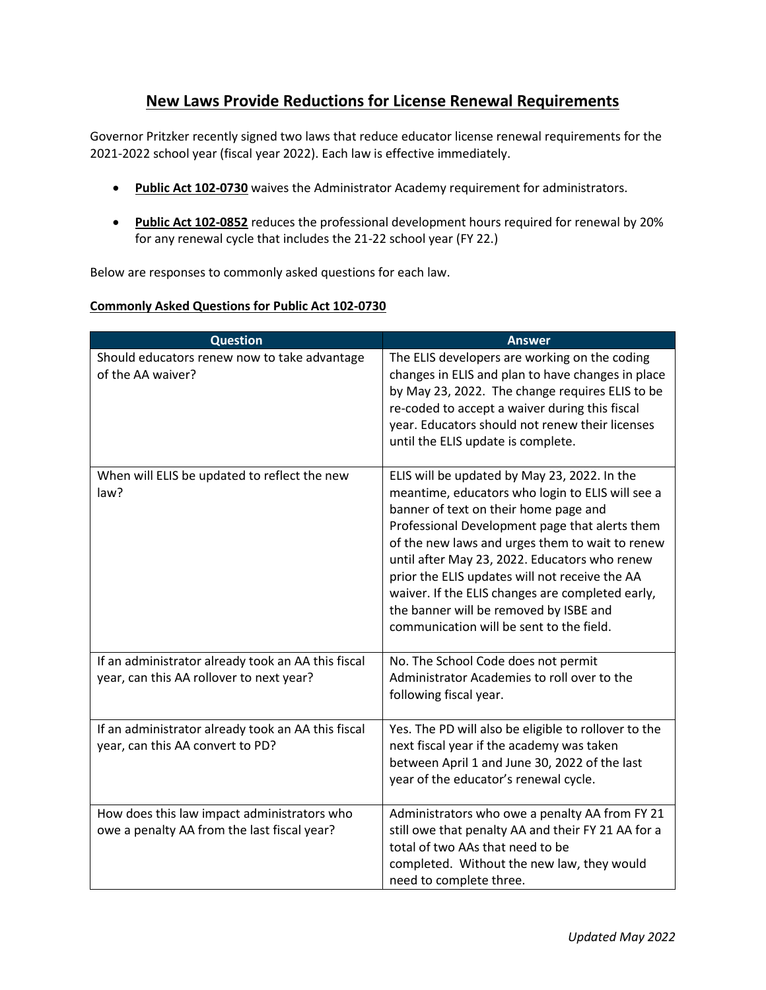## **New Laws Provide Reductions for License Renewal Requirements**

Governor Pritzker recently signed two laws that reduce educator license renewal requirements for the 2021-2022 school year (fiscal year 2022). Each law is effective immediately.

- **[Public Act 102-0730](https://nam10.safelinks.protection.outlook.com/?url=https%3A%2F%2Fwww.ilga.gov%2Flegislation%2Fpublicacts%2Ffulltext.asp%3FName%3D102-0730&data=05%7C01%7CMLOVELAC%40isbe.net%7Cf9742820f2fb4cdc319208da382263a7%7C0364fe8649c64af4b52c335a99e577d1%7C0%7C0%7C637884017610197398%7CUnknown%7CTWFpbGZsb3d8eyJWIjoiMC4wLjAwMDAiLCJQIjoiV2luMzIiLCJBTiI6Ik1haWwiLCJXVCI6Mn0%3D%7C3000%7C%7C%7C&sdata=UeGJpEG%2FuKFspt5w5mmiBLNlzJvvmYrm1ian9O%2FsTGA%3D&reserved=0)** waives the Administrator Academy requirement for administrators.
- **[Public Act 102-0852](https://nam10.safelinks.protection.outlook.com/?url=https%3A%2F%2Fwww.ilga.gov%2Flegislation%2Fpublicacts%2Ffulltext.asp%3FName%3D102-0852&data=05%7C01%7CMLOVELAC%40isbe.net%7Cf9742820f2fb4cdc319208da382263a7%7C0364fe8649c64af4b52c335a99e577d1%7C0%7C0%7C637884017610353637%7CUnknown%7CTWFpbGZsb3d8eyJWIjoiMC4wLjAwMDAiLCJQIjoiV2luMzIiLCJBTiI6Ik1haWwiLCJXVCI6Mn0%3D%7C3000%7C%7C%7C&sdata=7TKQN9PZfrlD8nbEITBYJ0JhJb35kk%2Ben76H6DqnNKg%3D&reserved=0)** reduces the professional development hours required for renewal by 20% for any renewal cycle that includes the 21-22 school year (FY 22.)

Below are responses to commonly asked questions for each law.

## **Commonly Asked Questions for Public Act 102-0730**

| <b>Question</b>                                                                                | <b>Answer</b>                                                                                                                                                                                                                                                                                                                                                                                                                                                                               |
|------------------------------------------------------------------------------------------------|---------------------------------------------------------------------------------------------------------------------------------------------------------------------------------------------------------------------------------------------------------------------------------------------------------------------------------------------------------------------------------------------------------------------------------------------------------------------------------------------|
| Should educators renew now to take advantage<br>of the AA waiver?                              | The ELIS developers are working on the coding<br>changes in ELIS and plan to have changes in place<br>by May 23, 2022. The change requires ELIS to be<br>re-coded to accept a waiver during this fiscal<br>year. Educators should not renew their licenses<br>until the ELIS update is complete.                                                                                                                                                                                            |
| When will ELIS be updated to reflect the new<br>law?                                           | ELIS will be updated by May 23, 2022. In the<br>meantime, educators who login to ELIS will see a<br>banner of text on their home page and<br>Professional Development page that alerts them<br>of the new laws and urges them to wait to renew<br>until after May 23, 2022. Educators who renew<br>prior the ELIS updates will not receive the AA<br>waiver. If the ELIS changes are completed early,<br>the banner will be removed by ISBE and<br>communication will be sent to the field. |
| If an administrator already took an AA this fiscal<br>year, can this AA rollover to next year? | No. The School Code does not permit<br>Administrator Academies to roll over to the<br>following fiscal year.                                                                                                                                                                                                                                                                                                                                                                                |
| If an administrator already took an AA this fiscal<br>year, can this AA convert to PD?         | Yes. The PD will also be eligible to rollover to the<br>next fiscal year if the academy was taken<br>between April 1 and June 30, 2022 of the last<br>year of the educator's renewal cycle.                                                                                                                                                                                                                                                                                                 |
| How does this law impact administrators who<br>owe a penalty AA from the last fiscal year?     | Administrators who owe a penalty AA from FY 21<br>still owe that penalty AA and their FY 21 AA for a<br>total of two AAs that need to be<br>completed. Without the new law, they would<br>need to complete three.                                                                                                                                                                                                                                                                           |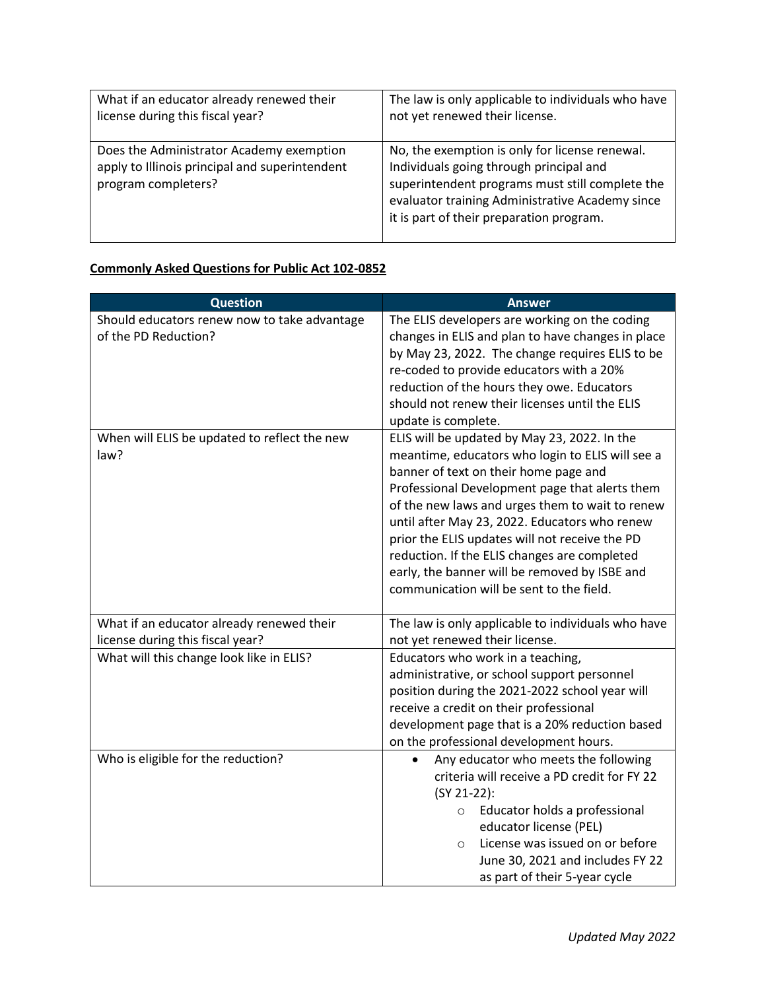| What if an educator already renewed their                                                                         | The law is only applicable to individuals who have                                                                                                                                                                                          |
|-------------------------------------------------------------------------------------------------------------------|---------------------------------------------------------------------------------------------------------------------------------------------------------------------------------------------------------------------------------------------|
| license during this fiscal year?                                                                                  | not yet renewed their license.                                                                                                                                                                                                              |
| Does the Administrator Academy exemption<br>apply to Illinois principal and superintendent<br>program completers? | No, the exemption is only for license renewal.<br>Individuals going through principal and<br>superintendent programs must still complete the<br>evaluator training Administrative Academy since<br>it is part of their preparation program. |

## **Commonly Asked Questions for Public Act 102-0852**

| <b>Question</b>                                                               | <b>Answer</b>                                                                                                                                                                                                                                                                                                                                                                                                                                                                                  |
|-------------------------------------------------------------------------------|------------------------------------------------------------------------------------------------------------------------------------------------------------------------------------------------------------------------------------------------------------------------------------------------------------------------------------------------------------------------------------------------------------------------------------------------------------------------------------------------|
| Should educators renew now to take advantage<br>of the PD Reduction?          | The ELIS developers are working on the coding<br>changes in ELIS and plan to have changes in place<br>by May 23, 2022. The change requires ELIS to be<br>re-coded to provide educators with a 20%<br>reduction of the hours they owe. Educators<br>should not renew their licenses until the ELIS<br>update is complete.                                                                                                                                                                       |
| When will ELIS be updated to reflect the new<br>law?                          | ELIS will be updated by May 23, 2022. In the<br>meantime, educators who login to ELIS will see a<br>banner of text on their home page and<br>Professional Development page that alerts them<br>of the new laws and urges them to wait to renew<br>until after May 23, 2022. Educators who renew<br>prior the ELIS updates will not receive the PD<br>reduction. If the ELIS changes are completed<br>early, the banner will be removed by ISBE and<br>communication will be sent to the field. |
| What if an educator already renewed their<br>license during this fiscal year? | The law is only applicable to individuals who have<br>not yet renewed their license.                                                                                                                                                                                                                                                                                                                                                                                                           |
| What will this change look like in ELIS?                                      | Educators who work in a teaching,<br>administrative, or school support personnel<br>position during the 2021-2022 school year will<br>receive a credit on their professional<br>development page that is a 20% reduction based<br>on the professional development hours.                                                                                                                                                                                                                       |
| Who is eligible for the reduction?                                            | Any educator who meets the following<br>criteria will receive a PD credit for FY 22<br>$(SY 21-22)$ :<br>Educator holds a professional<br>$\circ$<br>educator license (PEL)<br>License was issued on or before<br>$\circ$<br>June 30, 2021 and includes FY 22<br>as part of their 5-year cycle                                                                                                                                                                                                 |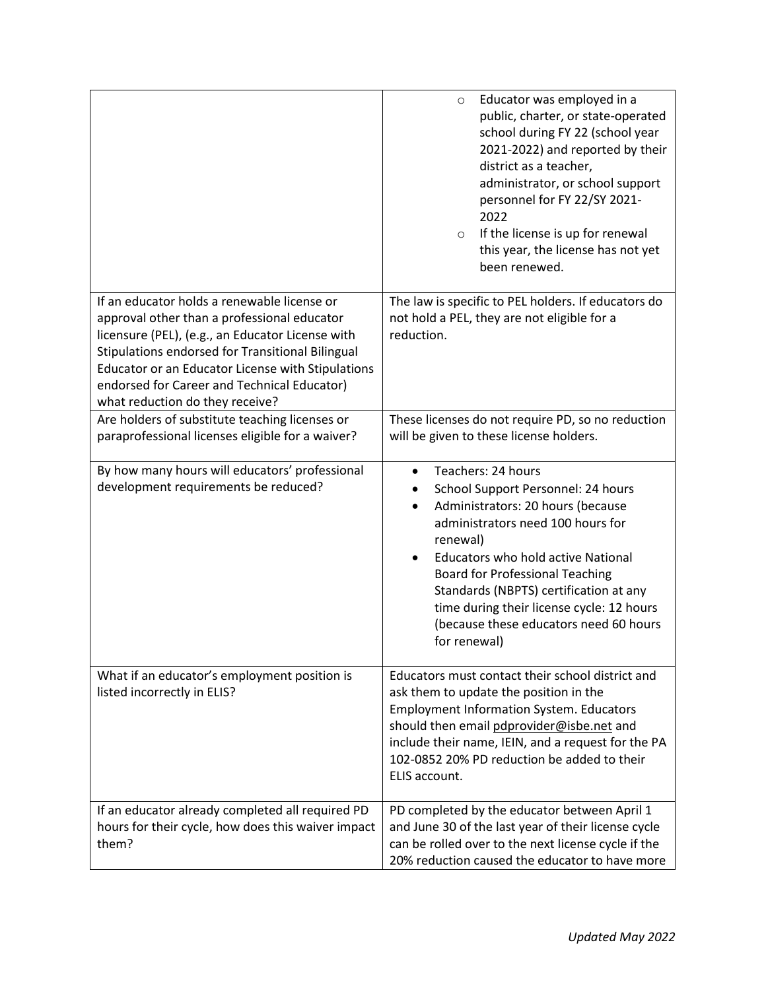|                                                                                                                                                                                                                                                                                                                                           | Educator was employed in a<br>$\circ$<br>public, charter, or state-operated<br>school during FY 22 (school year<br>2021-2022) and reported by their<br>district as a teacher,<br>administrator, or school support<br>personnel for FY 22/SY 2021-<br>2022<br>If the license is up for renewal<br>$\circ$<br>this year, the license has not yet<br>been renewed.                                                               |
|-------------------------------------------------------------------------------------------------------------------------------------------------------------------------------------------------------------------------------------------------------------------------------------------------------------------------------------------|-------------------------------------------------------------------------------------------------------------------------------------------------------------------------------------------------------------------------------------------------------------------------------------------------------------------------------------------------------------------------------------------------------------------------------|
| If an educator holds a renewable license or<br>approval other than a professional educator<br>licensure (PEL), (e.g., an Educator License with<br>Stipulations endorsed for Transitional Bilingual<br>Educator or an Educator License with Stipulations<br>endorsed for Career and Technical Educator)<br>what reduction do they receive? | The law is specific to PEL holders. If educators do<br>not hold a PEL, they are not eligible for a<br>reduction.                                                                                                                                                                                                                                                                                                              |
| Are holders of substitute teaching licenses or<br>paraprofessional licenses eligible for a waiver?                                                                                                                                                                                                                                        | These licenses do not require PD, so no reduction<br>will be given to these license holders.                                                                                                                                                                                                                                                                                                                                  |
| By how many hours will educators' professional<br>development requirements be reduced?                                                                                                                                                                                                                                                    | Teachers: 24 hours<br>$\bullet$<br>School Support Personnel: 24 hours<br>Administrators: 20 hours (because<br>$\bullet$<br>administrators need 100 hours for<br>renewal)<br><b>Educators who hold active National</b><br>$\bullet$<br><b>Board for Professional Teaching</b><br>Standards (NBPTS) certification at any<br>time during their license cycle: 12 hours<br>(because these educators need 60 hours<br>for renewal) |
| What if an educator's employment position is<br>listed incorrectly in ELIS?                                                                                                                                                                                                                                                               | Educators must contact their school district and<br>ask them to update the position in the<br><b>Employment Information System. Educators</b><br>should then email pdprovider@isbe.net and<br>include their name, IEIN, and a request for the PA<br>102-0852 20% PD reduction be added to their<br>ELIS account.                                                                                                              |
| If an educator already completed all required PD<br>hours for their cycle, how does this waiver impact<br>them?                                                                                                                                                                                                                           | PD completed by the educator between April 1<br>and June 30 of the last year of their license cycle<br>can be rolled over to the next license cycle if the<br>20% reduction caused the educator to have more                                                                                                                                                                                                                  |